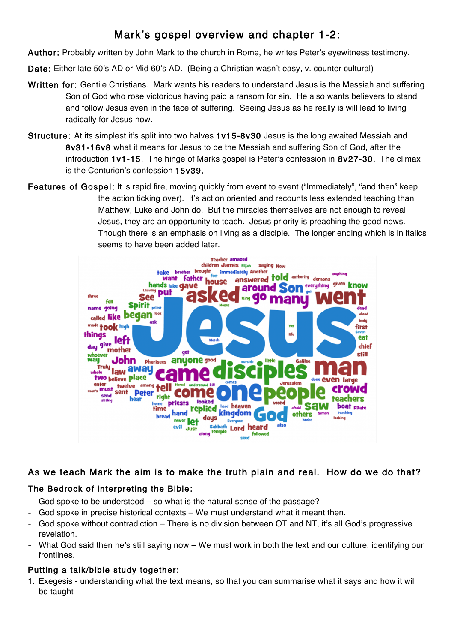# Mark's gospel overview and chapter 1-2:

Author: Probably written by John Mark to the church in Rome, he writes Peter's eyewitness testimony.

Date: Either late 50's AD or Mid 60's AD. (Being a Christian wasn't easy, v. counter cultural)

- Written for: Gentile Christians. Mark wants his readers to understand Jesus is the Messiah and suffering Son of God who rose victorious having paid a ransom for sin. He also wants believers to stand and follow Jesus even in the face of suffering. Seeing Jesus as he really is will lead to living radically for Jesus now.
- Structure: At its simplest it's split into two halves 1v15-8v30 Jesus is the long awaited Messiah and 8v31-16v8 what it means for Jesus to be the Messiah and suffering Son of God, after the introduction 1v1-15. The hinge of Marks gospel is Peter's confession in 8v27-30. The climax is the Centurion's confession 15v39.
- Features of Gospel: It is rapid fire, moving quickly from event to event ("Immediately", "and then" keep the action ticking over). It's action oriented and recounts less extended teaching than Matthew, Luke and John do. But the miracles themselves are not enough to reveal Jesus, they are an opportunity to teach. Jesus priority is preaching the good news. Though there is an emphasis on living as a disciple. The longer ending which is in italics seems to have been added later.



## As we teach Mark the aim is to make the truth plain and real. How do we do that?

### The Bedrock of interpreting the Bible:

- God spoke to be understood so what is the natural sense of the passage?
- God spoke in precise historical contexts We must understand what it meant then.
- God spoke without contradiction There is no division between OT and NT, it's all God's progressive revelation.
- What God said then he's still saying now We must work in both the text and our culture, identifying our frontlines.

### Putting a talk/bible study together:

1. Exegesis - understanding what the text means, so that you can summarise what it says and how it will be taught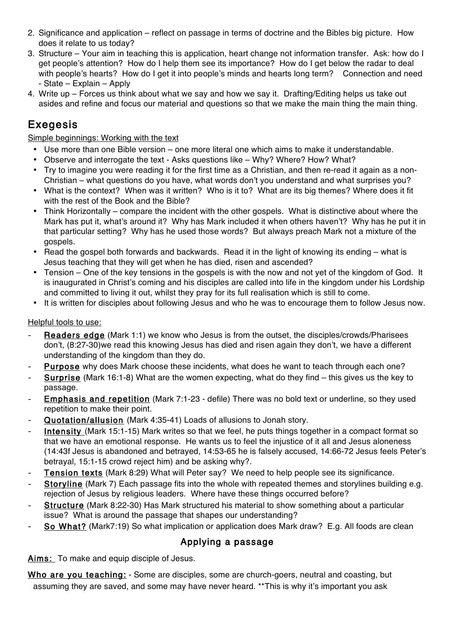- 2. Significance and application reflect on passage in terms of doctrine and the Bibles big picture. How does it relate to us today?
- 3. Structure Your aim in teaching this is application, heart change not information transfer. Ask: how do I get people's attention? How do I help them see its importance? How do I get below the radar to deal with people's hearts? How do I get it into people's minds and hearts long term? Connection and need - State – Explain – Apply
- 4. Write up Forces us think about what we say and how we say it. Drafting/Editing helps us take out asides and refine and focus our material and questions so that we make the main thing the main thing.

# Exegesis

#### Simple beginnings: Working with the text

- Use more than one Bible version one more literal one which aims to make it understandable.
- Observe and interrogate the text Asks questions like Why? Where? How? What?
- Try to imagine you were reading it for the first time as a Christian, and then re-read it again as a non-Christian – what questions do you have, what words don't you understand and what surprises you?
- What is the context? When was it written? Who is it to? What are its big themes? Where does it fit with the rest of the Book and the Bible?
- Think Horizontally compare the incident with the other gospels. What is distinctive about where the Mark has put it, what's around it? Why has Mark included it when others haven't? Why has he put it in that particular setting? Why has he used those words? But always preach Mark not a mixture of the gospels.
- Read the gospel both forwards and backwards. Read it in the light of knowing its ending what is Jesus teaching that they will get when he has died, risen and ascended?
- Tension One of the key tensions in the gospels is with the now and not yet of the kingdom of God. It is inaugurated in Christ's coming and his disciples are called into life in the kingdom under his Lordship and committed to living it out, whilst they pray for its full realisation which is still to come.
- It is written for disciples about following Jesus and who he was to encourage them to follow Jesus now.

#### Helpful tools to use:

- Readers edge (Mark 1:1) we know who Jesus is from the outset, the disciples/crowds/Pharisees don't, (8:27-30)we read this knowing Jesus has died and risen again they don't, we have a different understanding of the kingdom than they do.
- Purpose why does Mark choose these incidents, what does he want to teach through each one?
- Surprise (Mark 16:1-8) What are the women expecting, what do they find this gives us the key to passage.
- Emphasis and repetition (Mark 7:1-23 defile) There was no bold text or underline, so they used repetition to make their point.
- Quotation/allusion (Mark 4:35-41) Loads of allusions to Jonah story.
- Intensity (Mark 15:1-15) Mark writes so that we feel, he puts things together in a compact format so that we have an emotional response. He wants us to feel the injustice of it all and Jesus aloneness (14:43f Jesus is abandoned and betrayed, 14:53-65 he is falsely accused, 14:66-72 Jesus feels Peter's betrayal, 15:1-15 crowd reject him) and be asking why?.
- Tension texts (Mark 8:29) What will Peter say? We need to help people see its significance.
- Storyline (Mark 7) Each passage fits into the whole with repeated themes and storylines building e.g. rejection of Jesus by religious leaders. Where have these things occurred before?
- Structure (Mark 8:22-30) Has Mark structured his material to show something about a particular issue? What is around the passage that shapes our understanding?
- So What? (Mark7:19) So what implication or application does Mark draw? E.g. All foods are clean

### Applying a passage

Aims: To make and equip disciple of Jesus.

Who are you teaching: - Some are disciples, some are church-goers, neutral and coasting, but assuming they are saved, and some may have never heard. \*\*This is why it's important you ask